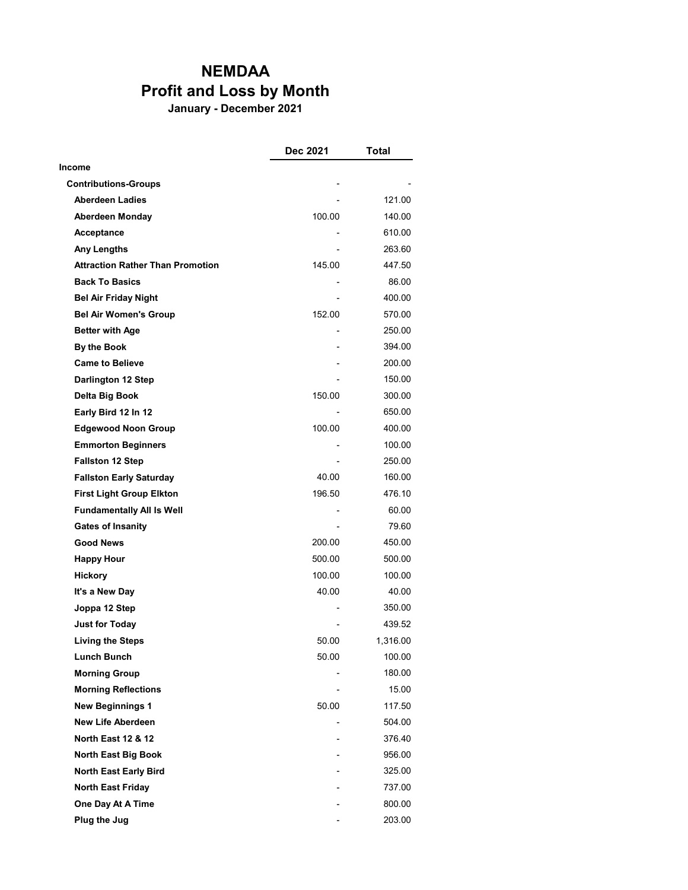## NEMDAA Profit and Loss by Month

January - December 2021

|                                         | Dec 2021 | Total    |
|-----------------------------------------|----------|----------|
| Income                                  |          |          |
| <b>Contributions-Groups</b>             |          |          |
| <b>Aberdeen Ladies</b>                  |          | 121.00   |
| <b>Aberdeen Monday</b>                  | 100.00   | 140.00   |
| Acceptance                              |          | 610.00   |
| <b>Any Lengths</b>                      |          | 263.60   |
| <b>Attraction Rather Than Promotion</b> | 145.00   | 447.50   |
| <b>Back To Basics</b>                   |          | 86.00    |
| <b>Bel Air Friday Night</b>             |          | 400.00   |
| <b>Bel Air Women's Group</b>            | 152.00   | 570.00   |
| <b>Better with Age</b>                  |          | 250.00   |
| <b>By the Book</b>                      |          | 394.00   |
| <b>Came to Believe</b>                  |          | 200.00   |
| Darlington 12 Step                      |          | 150.00   |
| Delta Big Book                          | 150.00   | 300.00   |
| Early Bird 12 In 12                     |          | 650.00   |
| <b>Edgewood Noon Group</b>              | 100.00   | 400.00   |
| <b>Emmorton Beginners</b>               |          | 100.00   |
| <b>Fallston 12 Step</b>                 |          | 250.00   |
| <b>Fallston Early Saturday</b>          | 40.00    | 160.00   |
| <b>First Light Group Elkton</b>         | 196.50   | 476.10   |
| <b>Fundamentally All Is Well</b>        |          | 60.00    |
| <b>Gates of Insanity</b>                |          | 79.60    |
| <b>Good News</b>                        | 200.00   | 450.00   |
| <b>Happy Hour</b>                       | 500.00   | 500.00   |
| <b>Hickory</b>                          | 100.00   | 100.00   |
| It's a New Day                          | 40.00    | 40.00    |
| Joppa 12 Step                           |          | 350.00   |
| <b>Just for Today</b>                   |          | 439.52   |
| <b>Living the Steps</b>                 | 50.00    | 1,316.00 |
| Lunch Bunch                             | 50.00    | 100.00   |
| <b>Morning Group</b>                    |          | 180.00   |
| <b>Morning Reflections</b>              |          | 15.00    |
| <b>New Beginnings 1</b>                 | 50.00    | 117.50   |
| <b>New Life Aberdeen</b>                |          | 504.00   |
| <b>North East 12 &amp; 12</b>           |          | 376.40   |
| North East Big Book                     |          | 956.00   |
| North East Early Bird                   |          | 325.00   |
| <b>North East Friday</b>                |          | 737.00   |
| One Day At A Time                       |          | 800.00   |
| Plug the Jug                            |          | 203.00   |
|                                         |          |          |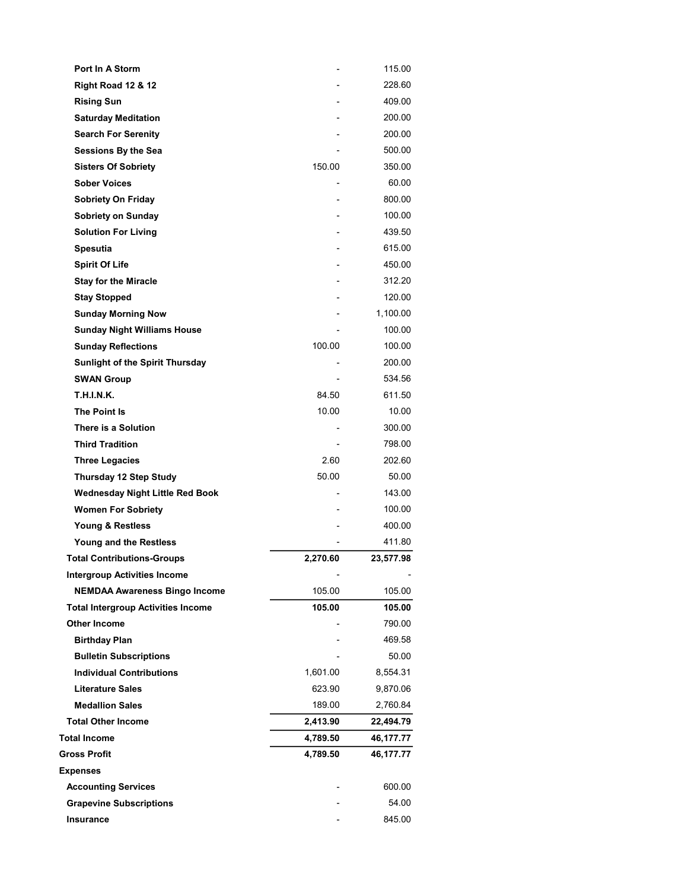| Port In A Storm                           |          | 115.00    |
|-------------------------------------------|----------|-----------|
| <b>Right Road 12 &amp; 12</b>             |          | 228.60    |
| <b>Rising Sun</b>                         |          | 409.00    |
| <b>Saturday Meditation</b>                |          | 200.00    |
| <b>Search For Serenity</b>                |          | 200.00    |
| Sessions By the Sea                       |          | 500.00    |
| <b>Sisters Of Sobriety</b>                | 150.00   | 350.00    |
| <b>Sober Voices</b>                       |          | 60.00     |
| <b>Sobriety On Friday</b>                 |          | 800.00    |
| <b>Sobriety on Sunday</b>                 |          | 100.00    |
| <b>Solution For Living</b>                |          | 439.50    |
| <b>Spesutia</b>                           |          | 615.00    |
| <b>Spirit Of Life</b>                     |          | 450.00    |
| <b>Stay for the Miracle</b>               |          | 312.20    |
| <b>Stay Stopped</b>                       |          | 120.00    |
| <b>Sunday Morning Now</b>                 |          | 1,100.00  |
| <b>Sunday Night Williams House</b>        |          | 100.00    |
| <b>Sunday Reflections</b>                 | 100.00   | 100.00    |
| Sunlight of the Spirit Thursday           |          | 200.00    |
| <b>SWAN Group</b>                         |          | 534.56    |
| T.H.I.N.K.                                | 84.50    | 611.50    |
| The Point Is                              | 10.00    | 10.00     |
| There is a Solution                       |          | 300.00    |
| <b>Third Tradition</b>                    |          | 798.00    |
| <b>Three Legacies</b>                     | 2.60     | 202.60    |
| Thursday 12 Step Study                    | 50.00    | 50.00     |
| <b>Wednesday Night Little Red Book</b>    |          | 143.00    |
| <b>Women For Sobriety</b>                 |          | 100.00    |
| Young & Restless                          |          | 400.00    |
| Young and the Restless                    |          | 411.80    |
| <b>Total Contributions-Groups</b>         | 2,270.60 | 23,577.98 |
| <b>Intergroup Activities Income</b>       |          |           |
| <b>NEMDAA Awareness Bingo Income</b>      | 105.00   | 105.00    |
| <b>Total Intergroup Activities Income</b> | 105.00   | 105.00    |
| <b>Other Income</b>                       |          | 790.00    |
| <b>Birthday Plan</b>                      |          | 469.58    |
| <b>Bulletin Subscriptions</b>             |          | 50.00     |
| <b>Individual Contributions</b>           | 1,601.00 | 8,554.31  |
| <b>Literature Sales</b>                   | 623.90   | 9,870.06  |
| <b>Medallion Sales</b>                    | 189.00   | 2,760.84  |
| <b>Total Other Income</b>                 | 2,413.90 | 22,494.79 |
| <b>Total Income</b>                       | 4,789.50 | 46,177.77 |
| <b>Gross Profit</b>                       | 4,789.50 | 46,177.77 |
| <b>Expenses</b>                           |          |           |
| <b>Accounting Services</b>                |          | 600.00    |
| <b>Grapevine Subscriptions</b>            |          | 54.00     |
| Insurance                                 |          | 845.00    |